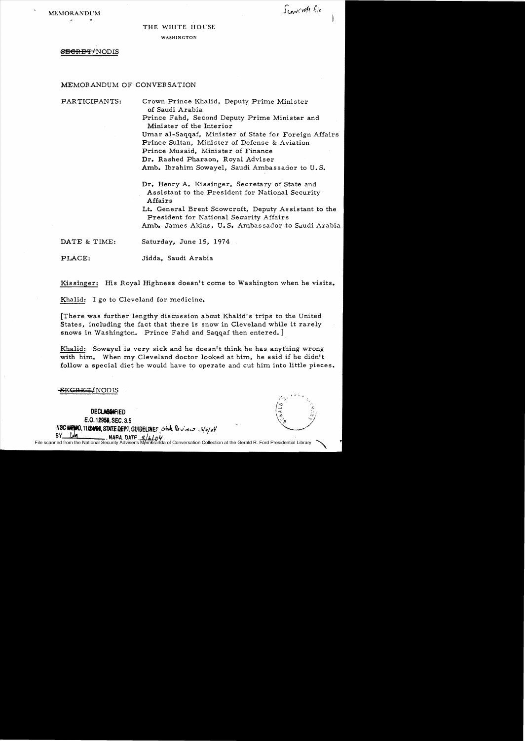#### THE WHITE HOl'SE

**WASHINGTON** 

# **SECRET/NODIS**

## MEMORANDUM OF CONVERSATION

PARTICIPANTS: Crown Prince Khalid, Deputy Prime Minister of Saudi Arabia Prince Fahd, Second Deputy Prime Minister and Minister of the Interior Umar al-Saqqaf, Minister of State for Foreign Affairs Prince Sultan, Minister of Defense & Aviation Prince Musaid, Minister of Finance Dr. Rashed Pharaon, Royal Adviser Amb. Ibrahim Sowayel, Saudi Ambassador to U. S. Dr. Henry A. Kissinger, Secretary of State and Assistant to the President for National Security Affairs Lt. General Brent Scowcroft, Deputy Assistant to the President for National Security Affairs Amb. James Akins, U. S. Ambassador to Saudi Arabia DATE & TIME: Saturday, June 15, 1974 PLACE: Jidda, Saudi Arabia

Kissinger: His Royal Highness doesn't come to Washington when he visits.

Khalid: I go to Cleveland for medicine.

[There was further lengthy discussion about Khalid's trips to the United States, including the fact that there is snow in Cleveland while it rarely snows in Washington. Prince Fahd and Saqqaf then entered.

Khalid: Sowayel is very sick and he doesn't think he has anything wrong with him. When my Cleveland doctor looked at him, he said if he didn't follow a special diet he would have to operate and cut him into little pieces.

SECRET/NODIS

DECLASSIFIED E.O. 12958, SEC. 3.5 NSC MEMO, 11/24/98, STATE DEPT. GUIDELINES State leview 3/*q/oy* 91.  $R = 8/6$ 

File scanned from the National Security Adviser's  $M$ da of Conversation Collection at the Gerald R. Ford Presidential Library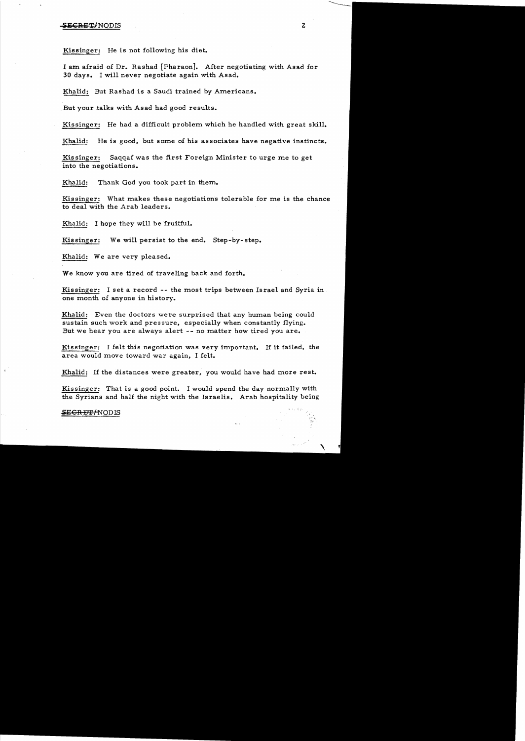Kissinger: He is not following his diet.

I am afraid of Dr. Rashad [Pharaon]. After negotiating with Asad for 30 days. I will never negotiate again with Asad.

Khalid: But Rashad is a Saudi trained by Americans.

But your talks with Asad had good results.

Kissinger: He had a difficult problem which he handled with great skill.

Khalid: He is good, but some of his associates have negative instincts.

Kissinger: Saqqaf was the first Foreign Minister to urge me to get into the negotiations.

Khalid: Thank God you took part in them.

Kissinger: What makes these negotiations tolerable for me is the chance to deal with the Arab leaders.

Khalid: I hope they will be fruitful.

Kissinger: We will persist to the end. Step-by-step.

Khalid: We are very pleased.

We know you are tired of traveling back and forth.

Kissinger: I set a record -- the most trips between Israel and Syria in one month of anyone in history.

Khalid: Even the doctors were surprised that any human being could sustain such work and pressure, especially when constantly flying. But we hear you are always alert -- no matter how tired you are.

Kissinger: I felt this negotiation was very important. If it failed, the area would move toward war again, I felt.

Khalid: If the distances were greater, you would have had more rest.

Kissinger: That is a good point. I would spend the day normally with the Syrians and half the night with the Israelis. Arab hospitality being

# $\frac{\text{SEGREFAODIS}}{\text{C}}$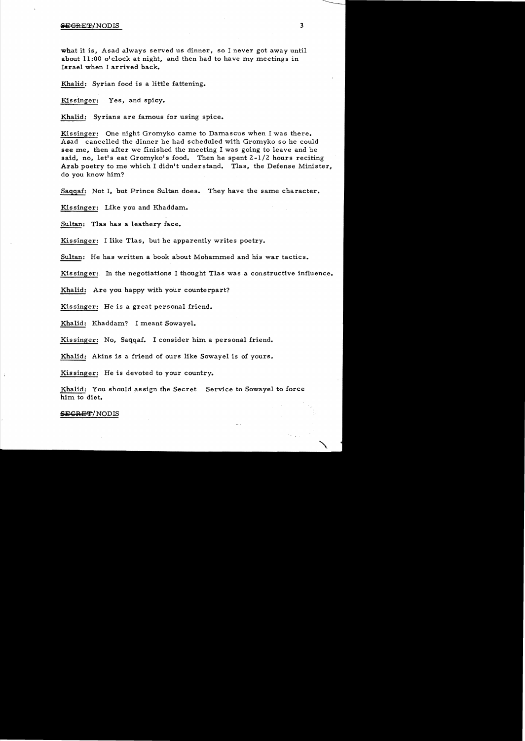what it is, Asad always served us dinner, so I never got away until about 11:00 o'clock at night, and then had to have my meetings in Israel when I arrived back.

Khalid: Syrian food is a little fattening.

Kissinger: Yes, and spicy.

Khalid: Syrians are famous for using spice.

Kissinger: One night Gromyko came to Damascus when I was there. Asad cancelled the dinner he had scheduled with Gromyko so he could see me, then after we finished the meeting I was going to leave and he said, no, let's eat Gromyko's food. Then he spent 2-1/2 hours reciting Arab poetry to me which I didn't understand. Tlas, the Defense Minister, do you know him?

Saqqaf: Not I, but Prince Sultan does. They have the same character.

Kissinger: Like you and Khaddam.

Sultan: Tlas has a leathery face.

Kissinger: I like Tlas, but he apparently writes poetry.

Sultan: He has written a book about Mohammed and his war tactics.

Kissinger: In the negotiations I thought Tlas was a constructive influence.

Khalid: Are you happy with your counterpart?

Kissinger: He is a great personal friend.

Khalid: Khaddam? I meant Sowayel.

Kissinger: No, Saqqaf. 1 consider him a personal friend.

Khalid: Akins is a friend of ours like Sowayel is of yours.

Kissinger: He is devoted to your country.

Khalid: You should assign the Secret Service to Sowayel to force him to diet.

#### **SEGRET/NODIS**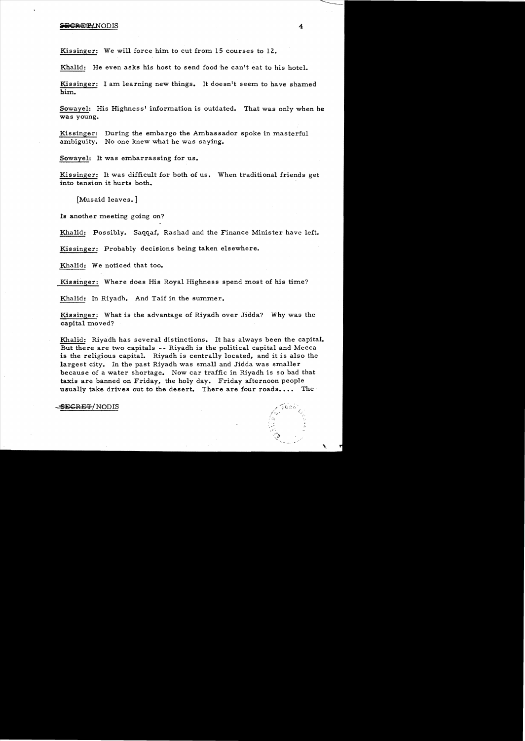Kissinger: We will force him to cut from 15 courses to 12.

Khalid: He even asks his host to send food he can't eat to his hotel.

Kissinger: I am learning new things. It doesn't seem to have shamed him.

Sowayel: His Highness' information is outdated. That was only when he was young.

Kissinger: During the embargo the Ambassador spoke in masterful ambiguity. No one knew what he was saying.

Sowayel: It was embarrassing for us.

Kissinger: It was difficult for both of us. When traditional friends get into tension it hurts both.

[Musaid leaves.]

Is another meeting going on?

Khalid: Possibly. Saqqaf, Rashad and the Finance Minister have left.

Kissinger: Probably decisions being taken elsewhere.

Khalid: We noticed that too.

Kissinger: Where does His Royal Highness spend most of his time?

Khalid: In Riyadh. And Taif in the summer.

Kissinger: What is the advantage of Riyadh over Jidda? Why was the capital moved?

Khalid: Riyadh has several distinctions. It has always been the capital. But there are two capitals -- Riyadh is the political capital and Mecca is the religious capital. Riyadh is centrally located, and it is also the largest city. In the past Riyadh was small and Jidda was smaller because of a water shortage. Now car traffic in Riyadh is so bad that taxis are banned on Friday, the holy day. Friday afternoon people usually take drives out to the desert. There are four roads.... The

':,...

<del>SECRET</del>/NODIS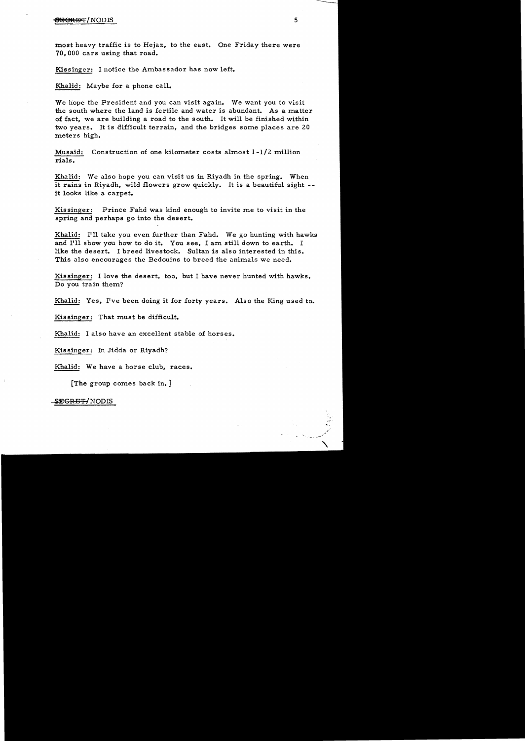## $\overline{\text{95-}\text{G}}$ R $\overline{\text{95-}\text{G}}$  5

most heavy traffic is to Hejaz, to the east. One Friday there were 70,000 cars using that road.

Kissinger: I notice the Ambassador has now left.

Khalid: Maybe for a phone call.

We hope the President and you can visit again. We want you to visit the south where the land is fertile and water is abundant. As a matter of fact, we are building a road to the south. It will be finished within two years. It is difficult terrain, and the bridges some places are 20 meters high.

Musaid: Construction of one kilometer costs almost 1-1/2 million rials.

Khalid: We also hope you can visit us in Riyadh in the spring. When it rains in Riyadh, wild flowers grow quickly. It is a beautiful sight it looks like a carpet.

Kissinger: Prince Fahd was kind enough to invite me to visit in the spring and perhaps go into the desert.

Khalid: I'll take you even further than Fahd. We go hunting with hawks and I'll show you how to do it. You see, I am still down to earth. I like the desert. I breed livestock. Sultan is also interested in this. This also encourages the Bedouins to breed the animals we need.

Kissinger: I love the desert, too. but I have never hunted with hawks. Do you train them?

Khalid: Yes, I've been doing it for forty years. Also the King used to.

Kissinger: That must be difficult.

Khalid: I also have an excellent stable of horses.

Kissinger: In Jidda or Riyadh?

Khalid: We have a horse club, races.

[The group comes back in. ]

SEGRE<del>T/</del>NODIS

 $\bullet$ , ,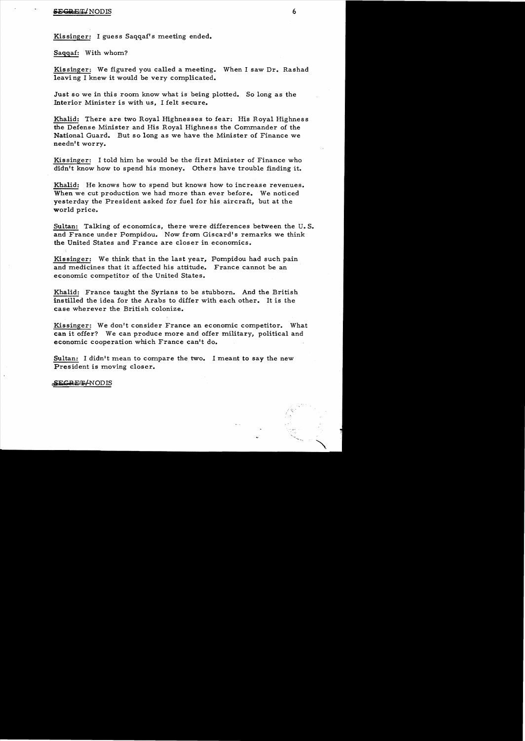#### **SEep** ETJNODIS 6

Kissinger: I guess Saqqaf's meeting ended.

Saqqaf: With whom?

Kissinger: We figured you called a meeting. When I saw Dr. Rashad leavi ng I knew it would be very complicated.

Just so we in this room know what is being plotted. So long as the Interior Minister is with us, I felt secure.

Khalid: There are two Royal Highnesses to fear: His Royal Highness the Defense Minister and His Royal Highness the Commander of the National Guard. But so long as we have the Minister of Finance we needn't worry.

Kissinger: I told him he would be the first Minister of Finance who didn't know how to spend his money. Others have trouble finding it.

Khalid: He knows how to spend but knows how to increase revenues. When we cut production we had more than ever before. We noticed yesterday the President asked for fuel for his aircraft, but at the world price.

Sultan: Talking of economics, there were differences between the U. S. and France under Pompidou. Now from Giscard's remarks we think the United States and France are closer in economics.

Kissinger: We think that in the last year, Pompidou had such pain and medicines that it affected his attitude. France cannot be an economic competitor of the United States.

Khalid: France taught the Syrians to be stubborn. And the British instilled the idea for the Arabs to differ with each other. It is the case wherever the British colonize.

Kissinger: We don't consider France an economic competitor. What can it offer? We can produce more and offer military, political and economic cooperation which France can't do.

Sultan: I didn't mean to compare the two. I meant to say the new President is moving closer.

#### SECRET/NODIS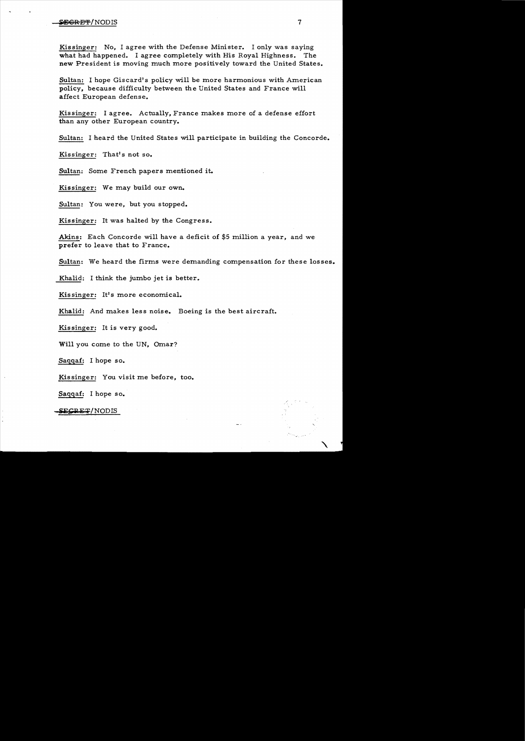# **secret and the secret of the secret and the secret and the secret and the secret and the secret and the secret**

Kissinger: No, I agree with the Defense Minister. I only was saying what had happened. I agree completely with His Royal Highness. The new President is moving much more positively toward the United States.

Sultan: I hope Giscard's policy will be more harmonious with American policy. because difficulty between the United States and France will affect European defense.

Kissinger: I agree. Actually. France makes more of a defense effort than any other European country.

Sultan: I heard the United States will participate in building the Concorde.

Kissinger: That's not so.

Sultan: Some French papers mentioned it.

Kissinger: We may build our own.

Sultan: You were, but you stopped.

Kissinger: It was halted by the Congress.

Akins: Each Concorde will have a deficit of \$5 million a year, and we prefer to *leave* that to France.

Sultan: We heard the firms were demanding compensation for these losses.

Khalid: I think the jumbo jet is better.

Kissinger: It's more economical.

Khalid: And makes less noise. Boeing is the best aircraft.

Kissinger: It is very good.

Will you come to the UN, Omar?

Saqqaf: I hope so.

Kissinger: You visit me before, too.

Saqqaf: I hope so.

SECRET/NODIS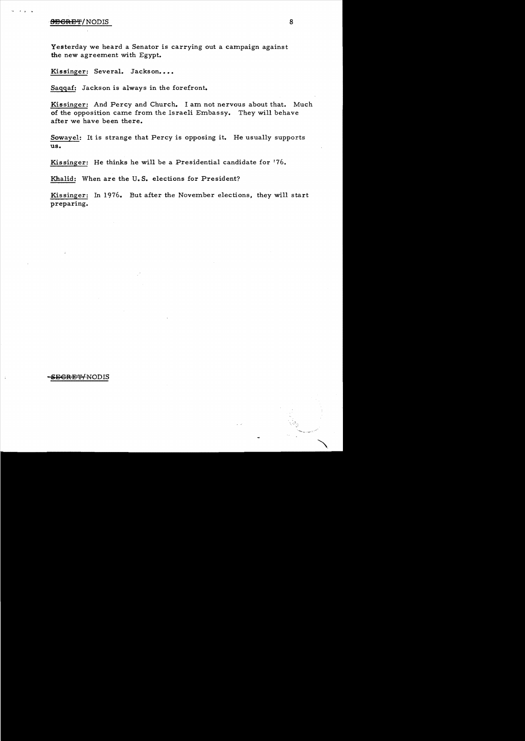# **•9EGRET/NODIS** 8

Yesterday we heard a Senator is carrying out a campaign against the new agreement with Egypt.

Kissinger: Several. Jackson....

Saqqaf: Jackson is always in the forefront.

Kissinger: And Percy and Church. I am not nervous about that. Much of the opposition came from the Israeli Embassy. They will behave after we have been there.

Sowaye1: It is strange that Percy is opposing it. He usually supports us.

Kissinger: He thinks he will be a Presidential candidate for '76.

Khalid: When are the U. S. elections for President?

Kissinger: In 1976. But after the November elections, they will start preparing.

# **SEGRET/NODIS**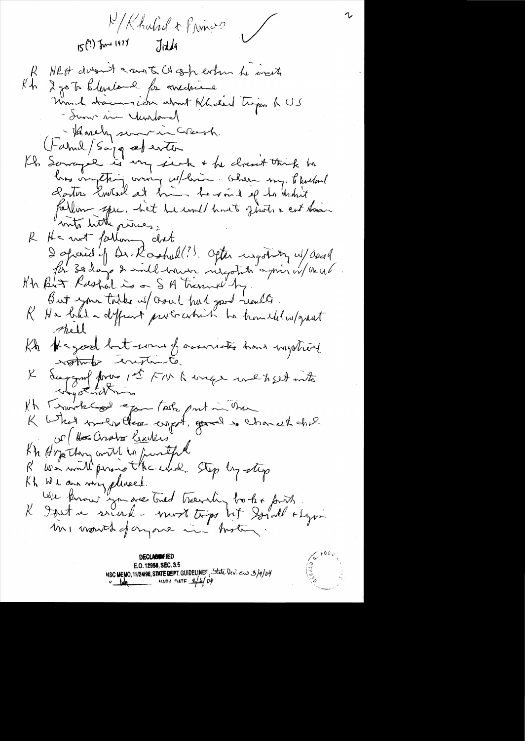M/Khulid + Princes  $15(?)$  June 1974 Jitela R HRH doesn't a most co ash exten he wents Kh 2 go To blevalone for anchever - Summer in Yuntand - Harrely sometime Creesh. (famil/Saya ceperter Kh Sowape is my jeck + he closent think he bros omptant avons esplantes about my titulant fallen spec, het he und huit first a est taan R He wit following diet<br>2 spared of Dr. Roohul!! Ofter usgotistry w/ accel But your tobes us crowl had good really R He bad a difficult probability has homelel w/great thell Kb Ke good but some of assumets have ingether stations constante. daggard forme pet FM & unge wild bed into  $\times$ It Transfert pour teste part in the K What worker there with, good is charact chil UP Hos analog learners Kh Hope they will in further R We will promot the whole Step by step Kh We are very placed trevail to be forth .<br>K I suit a servered - most trips het Sound symmetry mi month of anyone in motion.

E.O. 12958, SEC. 3.5 NSC MEMO, 11/24/98, STATE DEPT. GUIDELINES, State Dev. ew 3/9/04

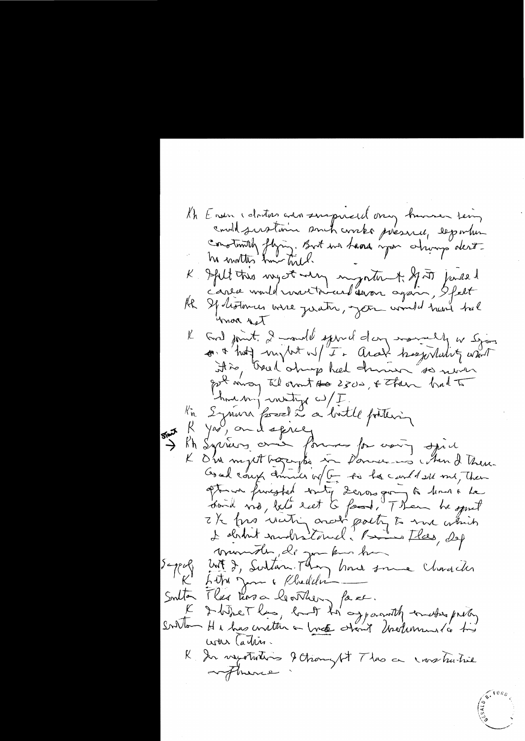Kh Ensin coloitas avec suspiraidement human teing constantif flying. But un hand igan chimp dess-K Ifilt this myst why ingenter t. If it joursed HR Spolisteries were justin, jet und heri tal unon set K God point. I model spiral dans marrelly a sjon pot mong til ovent to 2500, + Then had to how my writing w/I. l'à Synon fossel à a buttle fottering R you, and spice Rh Syrians and formes for voiry spiel K D'un mytt begangte in Donners chan d'heur month, de gon kins han Luit 2, Sultan Mon hour somme Character  $\sum_{i}$  $\kappa'$ South There has a learnery face. Et IbitreThas, lant th'ayparently enables pilos war Cartier. R In negotiations & thought Thas a cross hustrice arthure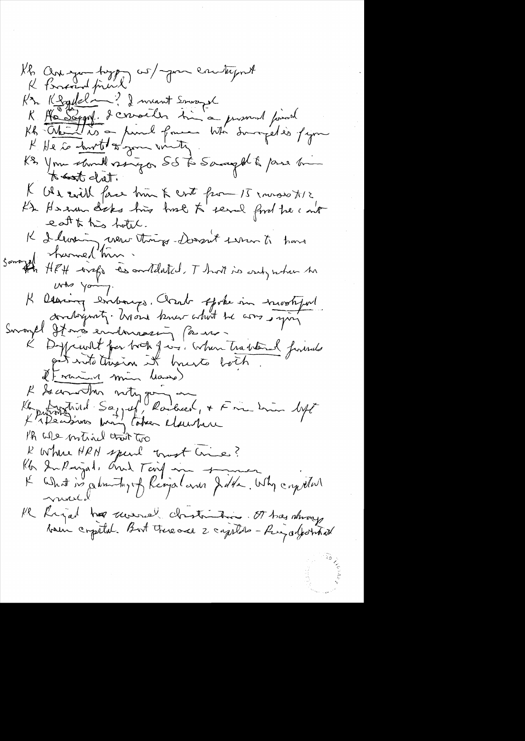$\tilde{a}_{\tilde{B}}$ 

 $\gamma_{V\oplus\mathfrak{R}}\gamma^{\prime\prime}$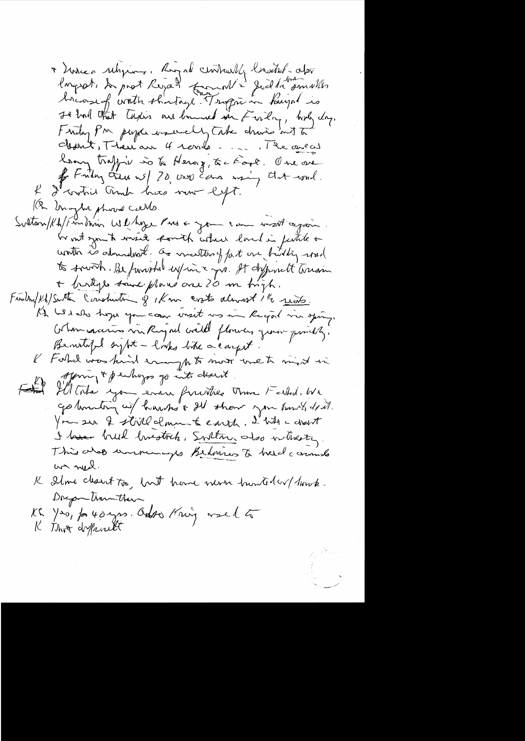\* Linea religions, Rigal centrally brustil-option It had that turkes are banned in Firly, holy day. I willing PM, perper une unelly Take chasis and to Mont, Theuan 4 romb. ..... The one of Long traffic is to Herag, to food. One are for tending trace w/ 70, 0000 cars many that woul. I crotic and his now left. 1(2 Unight phone cards. Sultan/Kh/Frandhim Whyse Pres & Jon can mat again. Er mit symit messé commit coluir land is justice on to sound. Be funished expire a gro. It defferent transion + birtyl same plans one 20 m high. Findin/Kh/Smith Construction of 1Km croto almost 1 /2 reals. At his who hope you can enset us in Regal in sping. Cortin covarios via Rigad crédit florides que comparably? Benetified syst - looks like a carpet. I Forbel was kind enough to most met mint in offering & perhaps go into desert. Fatal Ill Toda you even furitie time Fatal. We You see 2 still clone to earth. I with a deset I have breed linestock, Svilton des vitrestes. This whoo university Bedrin to hard commons was need. K Ilme cleant too, but have non hunter ( have . Docpe train their KG Yes, for 40 yrs. Out of Kning would to K Thos different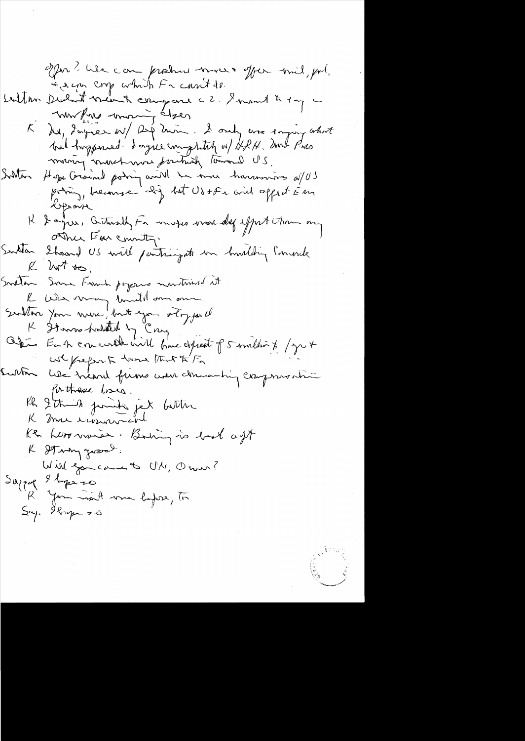**Contractions**